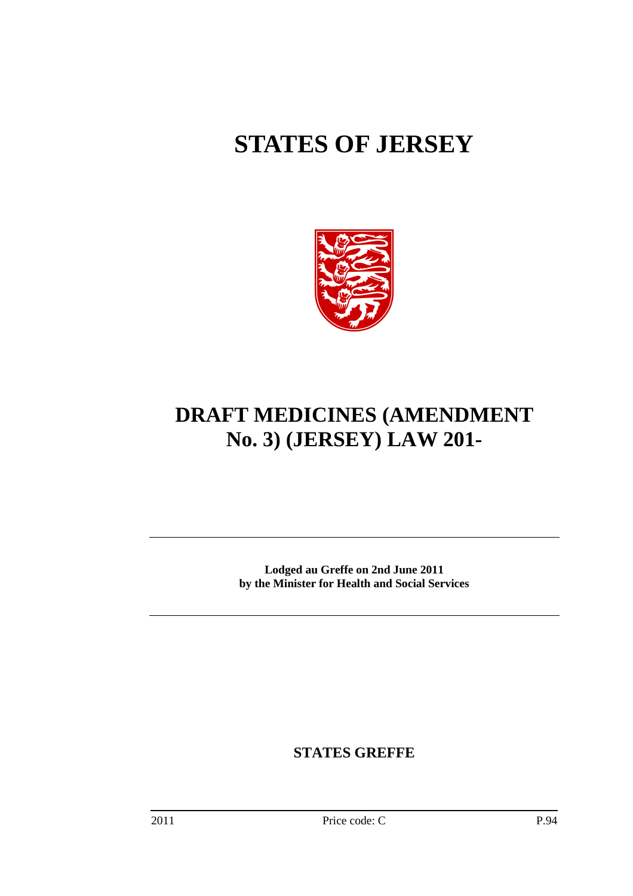# **STATES OF JERSEY**



## **DRAFT MEDICINES (AMENDMENT No. 3) (JERSEY) LAW 201-**

**Lodged au Greffe on 2nd June 2011 by the Minister for Health and Social Services** 

**STATES GREFFE**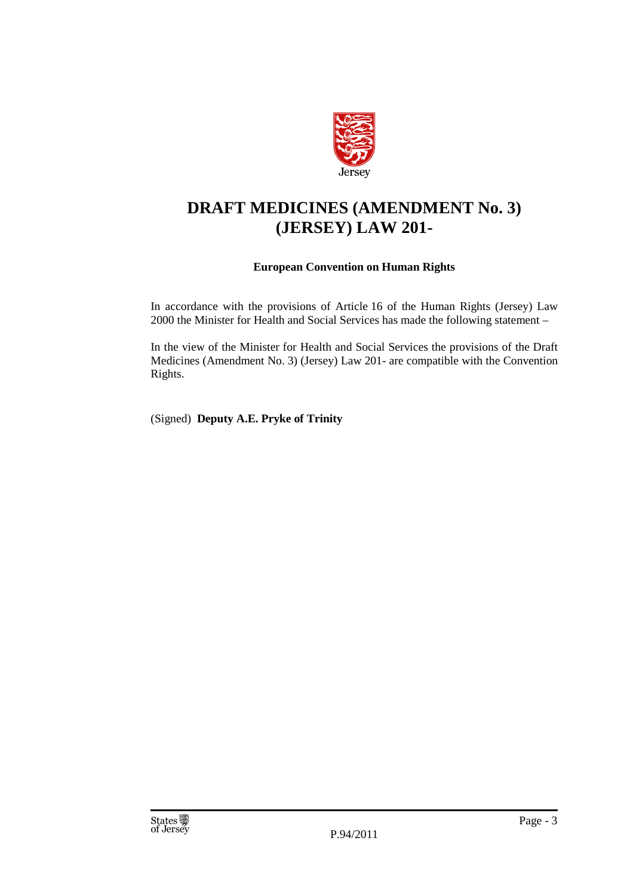

## **DRAFT MEDICINES (AMENDMENT No. 3) (JERSEY) LAW 201-**

#### **European Convention on Human Rights**

In accordance with the provisions of Article 16 of the Human Rights (Jersey) Law 2000 the Minister for Health and Social Services has made the following statement –

In the view of the Minister for Health and Social Services the provisions of the Draft Medicines (Amendment No. 3) (Jersey) Law 201- are compatible with the Convention Rights.

(Signed) **Deputy A.E. Pryke of Trinity**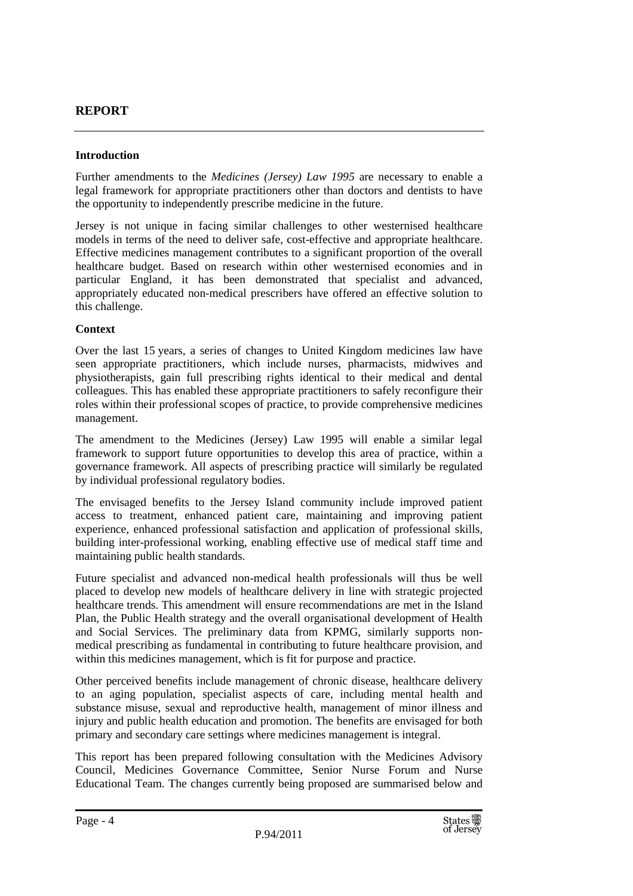#### **REPORT**

#### **Introduction**

Further amendments to the *Medicines (Jersey) Law 1995* are necessary to enable a legal framework for appropriate practitioners other than doctors and dentists to have the opportunity to independently prescribe medicine in the future.

Jersey is not unique in facing similar challenges to other westernised healthcare models in terms of the need to deliver safe, cost-effective and appropriate healthcare. Effective medicines management contributes to a significant proportion of the overall healthcare budget. Based on research within other westernised economies and in particular England, it has been demonstrated that specialist and advanced, appropriately educated non-medical prescribers have offered an effective solution to this challenge.

#### **Context**

Over the last 15 years, a series of changes to United Kingdom medicines law have seen appropriate practitioners, which include nurses, pharmacists, midwives and physiotherapists, gain full prescribing rights identical to their medical and dental colleagues. This has enabled these appropriate practitioners to safely reconfigure their roles within their professional scopes of practice, to provide comprehensive medicines management.

The amendment to the Medicines (Jersey) Law 1995 will enable a similar legal framework to support future opportunities to develop this area of practice, within a governance framework. All aspects of prescribing practice will similarly be regulated by individual professional regulatory bodies.

The envisaged benefits to the Jersey Island community include improved patient access to treatment, enhanced patient care, maintaining and improving patient experience, enhanced professional satisfaction and application of professional skills, building inter-professional working, enabling effective use of medical staff time and maintaining public health standards.

Future specialist and advanced non-medical health professionals will thus be well placed to develop new models of healthcare delivery in line with strategic projected healthcare trends. This amendment will ensure recommendations are met in the Island Plan, the Public Health strategy and the overall organisational development of Health and Social Services. The preliminary data from KPMG, similarly supports nonmedical prescribing as fundamental in contributing to future healthcare provision, and within this medicines management, which is fit for purpose and practice.

Other perceived benefits include management of chronic disease, healthcare delivery to an aging population, specialist aspects of care, including mental health and substance misuse, sexual and reproductive health, management of minor illness and injury and public health education and promotion. The benefits are envisaged for both primary and secondary care settings where medicines management is integral.

This report has been prepared following consultation with the Medicines Advisory Council, Medicines Governance Committee, Senior Nurse Forum and Nurse Educational Team. The changes currently being proposed are summarised below and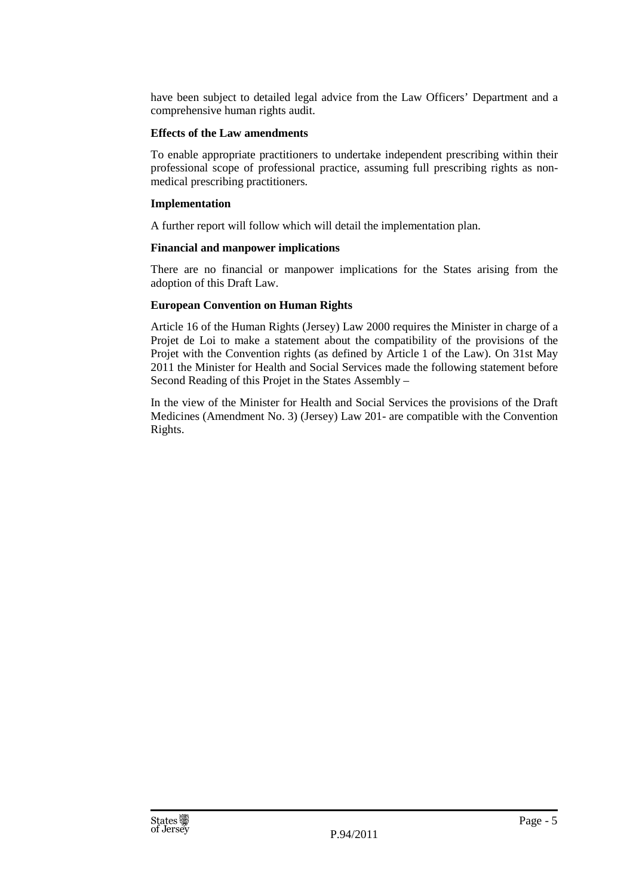have been subject to detailed legal advice from the Law Officers' Department and a comprehensive human rights audit.

#### **Effects of the Law amendments**

To enable appropriate practitioners to undertake independent prescribing within their professional scope of professional practice, assuming full prescribing rights as nonmedical prescribing practitioners.

#### **Implementation**

A further report will follow which will detail the implementation plan.

#### **Financial and manpower implications**

There are no financial or manpower implications for the States arising from the adoption of this Draft Law.

#### **European Convention on Human Rights**

Article 16 of the Human Rights (Jersey) Law 2000 requires the Minister in charge of a Projet de Loi to make a statement about the compatibility of the provisions of the Projet with the Convention rights (as defined by Article 1 of the Law). On 31st May 2011 the Minister for Health and Social Services made the following statement before Second Reading of this Projet in the States Assembly –

In the view of the Minister for Health and Social Services the provisions of the Draft Medicines (Amendment No. 3) (Jersey) Law 201- are compatible with the Convention Rights.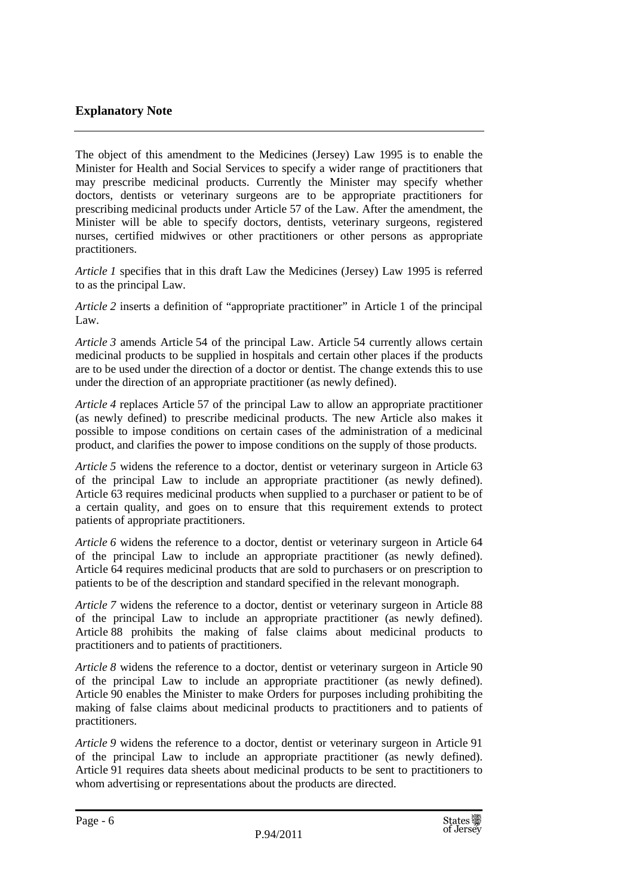#### **Explanatory Note**

The object of this amendment to the Medicines (Jersey) Law 1995 is to enable the Minister for Health and Social Services to specify a wider range of practitioners that may prescribe medicinal products. Currently the Minister may specify whether doctors, dentists or veterinary surgeons are to be appropriate practitioners for prescribing medicinal products under Article 57 of the Law. After the amendment, the Minister will be able to specify doctors, dentists, veterinary surgeons, registered nurses, certified midwives or other practitioners or other persons as appropriate practitioners.

*Article 1* specifies that in this draft Law the Medicines (Jersey) Law 1995 is referred to as the principal Law.

*Article 2* inserts a definition of "appropriate practitioner" in Article 1 of the principal Law.

*Article 3* amends Article 54 of the principal Law. Article 54 currently allows certain medicinal products to be supplied in hospitals and certain other places if the products are to be used under the direction of a doctor or dentist. The change extends this to use under the direction of an appropriate practitioner (as newly defined).

*Article 4* replaces Article 57 of the principal Law to allow an appropriate practitioner (as newly defined) to prescribe medicinal products. The new Article also makes it possible to impose conditions on certain cases of the administration of a medicinal product, and clarifies the power to impose conditions on the supply of those products.

*Article 5* widens the reference to a doctor, dentist or veterinary surgeon in Article 63 of the principal Law to include an appropriate practitioner (as newly defined). Article 63 requires medicinal products when supplied to a purchaser or patient to be of a certain quality, and goes on to ensure that this requirement extends to protect patients of appropriate practitioners.

*Article 6* widens the reference to a doctor, dentist or veterinary surgeon in Article 64 of the principal Law to include an appropriate practitioner (as newly defined). Article 64 requires medicinal products that are sold to purchasers or on prescription to patients to be of the description and standard specified in the relevant monograph.

*Article 7* widens the reference to a doctor, dentist or veterinary surgeon in Article 88 of the principal Law to include an appropriate practitioner (as newly defined). Article 88 prohibits the making of false claims about medicinal products to practitioners and to patients of practitioners.

*Article 8* widens the reference to a doctor, dentist or veterinary surgeon in Article 90 of the principal Law to include an appropriate practitioner (as newly defined). Article 90 enables the Minister to make Orders for purposes including prohibiting the making of false claims about medicinal products to practitioners and to patients of practitioners.

*Article 9* widens the reference to a doctor, dentist or veterinary surgeon in Article 91 of the principal Law to include an appropriate practitioner (as newly defined). Article 91 requires data sheets about medicinal products to be sent to practitioners to whom advertising or representations about the products are directed.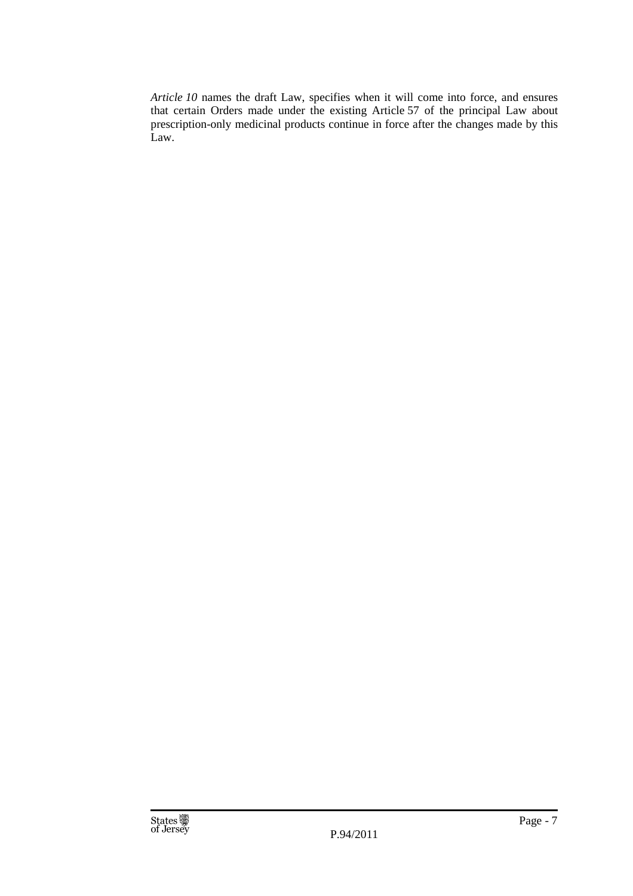*Article 10* names the draft Law, specifies when it will come into force, and ensures that certain Orders made under the existing Article 57 of the principal Law about prescription-only medicinal products continue in force after the changes made by this Law.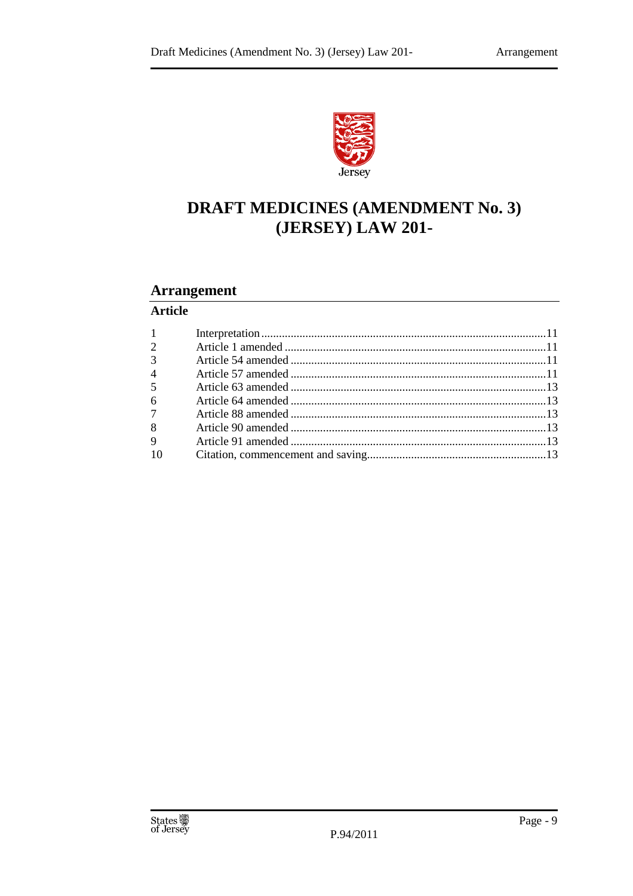

## **DRAFT MEDICINES (AMENDMENT No. 3)** (JERSEY) LAW 201-

#### **Arrangement**

#### **Article**

| $1 \quad \blacksquare$ |  |
|------------------------|--|
| $\overline{2}$         |  |
| $\overline{3}$         |  |
| $\overline{4}$         |  |
| 5 <sup>1</sup>         |  |
| 6                      |  |
| $7^{\circ}$            |  |
| 8                      |  |
| 9                      |  |
| 10                     |  |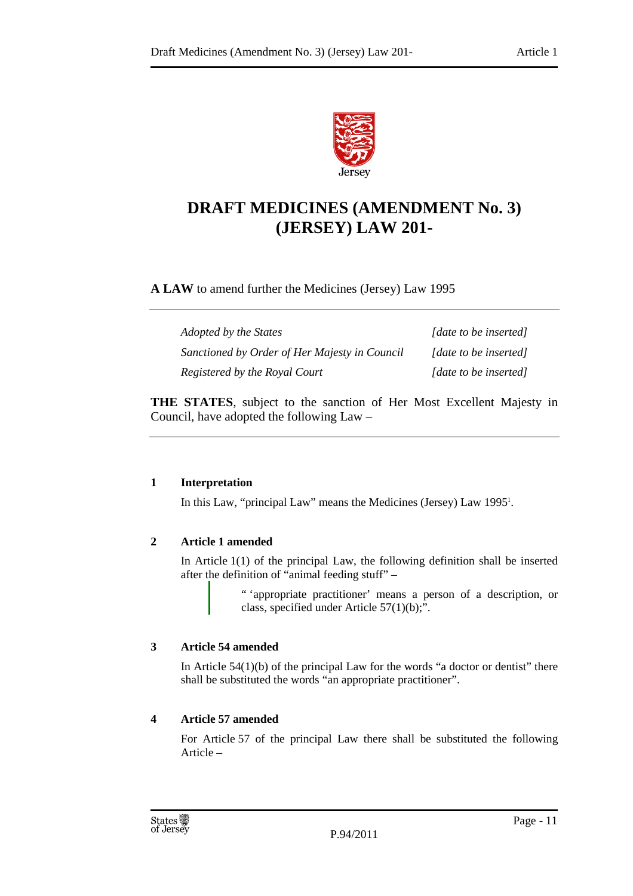

### **DRAFT MEDICINES (AMENDMENT No. 3) (JERSEY) LAW 201-**

#### **A LAW** to amend further the Medicines (Jersey) Law 1995

| Adopted by the States                         | [date to be inserted] |
|-----------------------------------------------|-----------------------|
| Sanctioned by Order of Her Majesty in Council | [date to be inserted] |
| Registered by the Royal Court                 | [date to be inserted] |

**THE STATES**, subject to the sanction of Her Most Excellent Majesty in Council, have adopted the following Law –

#### **1 Interpretation**

In this Law, "principal Law" means the Medicines (Jersey) Law 1995<sup>1</sup>.

#### **2 Article 1 amended**

In Article  $1(1)$  of the principal Law, the following definition shall be inserted after the definition of "animal feeding stuff" –

> " 'appropriate practitioner' means a person of a description, or class, specified under Article 57(1)(b);".

#### **3 Article 54 amended**

In Article  $54(1)(b)$  of the principal Law for the words "a doctor or dentist" there shall be substituted the words "an appropriate practitioner".

#### **4 Article 57 amended**

For Article 57 of the principal Law there shall be substituted the following Article –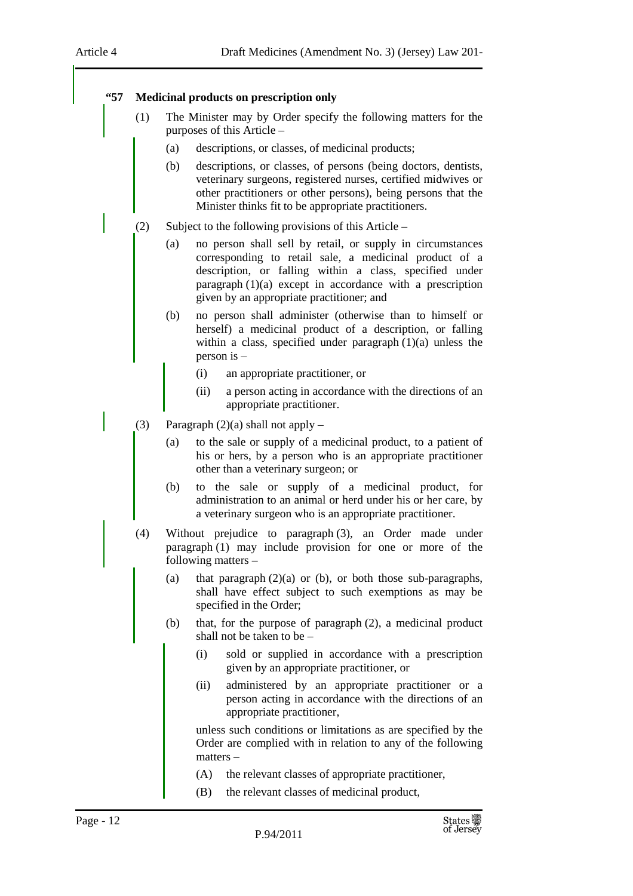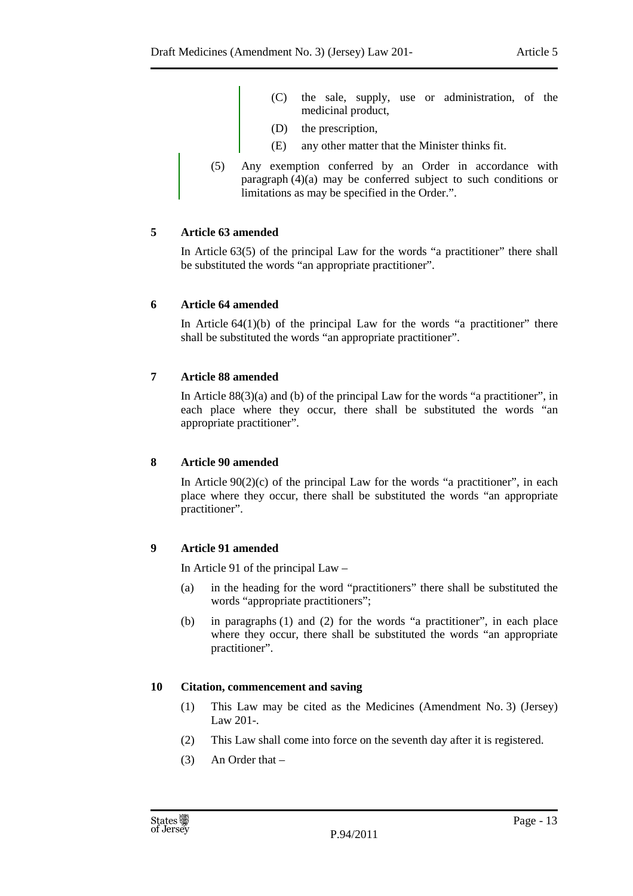- (C) the sale, supply, use or administration, of the medicinal product,
- (D) the prescription,
- (E) any other matter that the Minister thinks fit.
- (5) Any exemption conferred by an Order in accordance with paragraph (4)(a) may be conferred subject to such conditions or limitations as may be specified in the Order.".

#### **5 Article 63 amended**

In Article 63(5) of the principal Law for the words "a practitioner" there shall be substituted the words "an appropriate practitioner".

#### **6 Article 64 amended**

In Article  $64(1)(b)$  of the principal Law for the words "a practitioner" there shall be substituted the words "an appropriate practitioner".

#### **7 Article 88 amended**

In Article  $88(3)(a)$  and (b) of the principal Law for the words "a practitioner", in each place where they occur, there shall be substituted the words "an appropriate practitioner".

#### **8 Article 90 amended**

In Article  $90(2)(c)$  of the principal Law for the words "a practitioner", in each place where they occur, there shall be substituted the words "an appropriate practitioner".

#### **9 Article 91 amended**

In Article 91 of the principal Law –

- (a) in the heading for the word "practitioners" there shall be substituted the words "appropriate practitioners";
- (b) in paragraphs (1) and (2) for the words "a practitioner", in each place where they occur, there shall be substituted the words "an appropriate practitioner".

#### **10 Citation, commencement and saving**

- (1) This Law may be cited as the Medicines (Amendment No. 3) (Jersey) Law 201-.
- (2) This Law shall come into force on the seventh day after it is registered.
- (3) An Order that –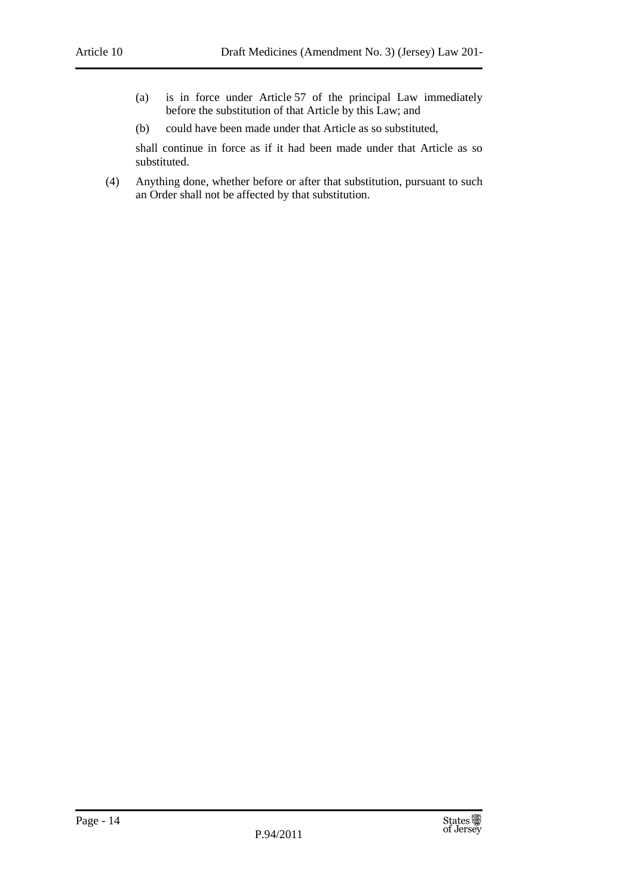- (a) is in force under Article 57 of the principal Law immediately before the substitution of that Article by this Law; and
- (b) could have been made under that Article as so substituted,

shall continue in force as if it had been made under that Article as so substituted.

(4) Anything done, whether before or after that substitution, pursuant to such an Order shall not be affected by that substitution.